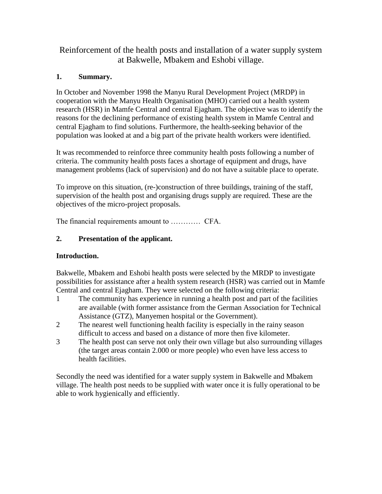Reinforcement of the health posts and installation of a water supply system at Bakwelle, Mbakem and Eshobi village.

# **1. Summary.**

In October and November 1998 the Manyu Rural Development Project (MRDP) in cooperation with the Manyu Health Organisation (MHO) carried out a health system research (HSR) in Mamfe Central and central Ejagham. The objective was to identify the reasons for the declining performance of existing health system in Mamfe Central and central Ejagham to find solutions. Furthermore, the health-seeking behavior of the population was looked at and a big part of the private health workers were identified.

It was recommended to reinforce three community health posts following a number of criteria. The community health posts faces a shortage of equipment and drugs, have management problems (lack of supervision) and do not have a suitable place to operate.

To improve on this situation, (re-)construction of three buildings, training of the staff, supervision of the health post and organising drugs supply are required. These are the objectives of the micro-project proposals.

The financial requirements amount to ………… CFA.

# **2. Presentation of the applicant.**

# **Introduction.**

Bakwelle, Mbakem and Eshobi health posts were selected by the MRDP to investigate possibilities for assistance after a health system research (HSR) was carried out in Mamfe Central and central Ejagham. They were selected on the following criteria:

- 1 The community has experience in running a health post and part of the facilities are available (with former assistance from the German Association for Technical Assistance (GTZ), Manyemen hospital or the Government).
- 2 The nearest well functioning health facility is especially in the rainy season difficult to access and based on a distance of more then five kilometer.
- 3 The health post can serve not only their own village but also surrounding villages (the target areas contain 2.000 or more people) who even have less access to health facilities.

Secondly the need was identified for a water supply system in Bakwelle and Mbakem village. The health post needs to be supplied with water once it is fully operational to be able to work hygienically and efficiently.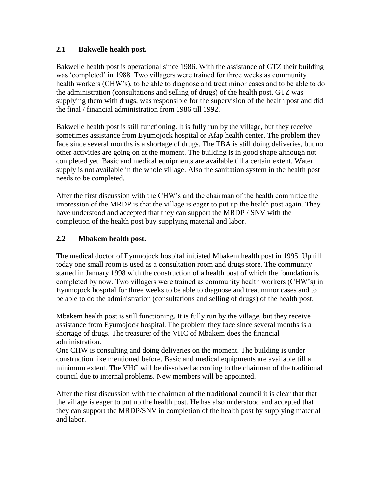### **2.1 Bakwelle health post.**

Bakwelle health post is operational since 1986. With the assistance of GTZ their building was 'completed' in 1988. Two villagers were trained for three weeks as community health workers (CHW's), to be able to diagnose and treat minor cases and to be able to do the administration (consultations and selling of drugs) of the health post. GTZ was supplying them with drugs, was responsible for the supervision of the health post and did the final / financial administration from 1986 till 1992.

Bakwelle health post is still functioning. It is fully run by the village, but they receive sometimes assistance from Eyumojock hospital or Afap health center. The problem they face since several months is a shortage of drugs. The TBA is still doing deliveries, but no other activities are going on at the moment. The building is in good shape although not completed yet. Basic and medical equipments are available till a certain extent. Water supply is not available in the whole village. Also the sanitation system in the health post needs to be completed.

After the first discussion with the CHW's and the chairman of the health committee the impression of the MRDP is that the village is eager to put up the health post again. They have understood and accepted that they can support the MRDP / SNV with the completion of the health post buy supplying material and labor.

## **2.2 Mbakem health post.**

The medical doctor of Eyumojock hospital initiated Mbakem health post in 1995. Up till today one small room is used as a consultation room and drugs store. The community started in January 1998 with the construction of a health post of which the foundation is completed by now. Two villagers were trained as community health workers (CHW's) in Eyumojock hospital for three weeks to be able to diagnose and treat minor cases and to be able to do the administration (consultations and selling of drugs) of the health post.

Mbakem health post is still functioning. It is fully run by the village, but they receive assistance from Eyumojock hospital. The problem they face since several months is a shortage of drugs. The treasurer of the VHC of Mbakem does the financial administration.

One CHW is consulting and doing deliveries on the moment. The building is under construction like mentioned before. Basic and medical equipments are available till a minimum extent. The VHC will be dissolved according to the chairman of the traditional council due to internal problems. New members will be appointed.

After the first discussion with the chairman of the traditional council it is clear that that the village is eager to put up the health post. He has also understood and accepted that they can support the MRDP/SNV in completion of the health post by supplying material and labor.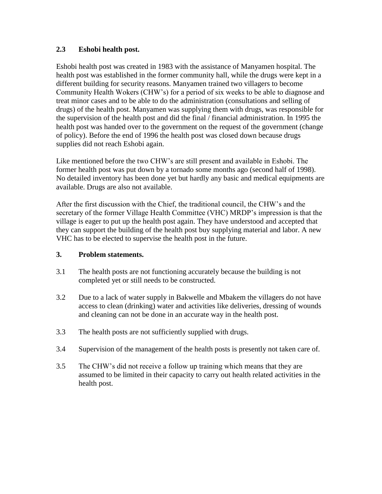### **2.3 Eshobi health post.**

Eshobi health post was created in 1983 with the assistance of Manyamen hospital. The health post was established in the former community hall, while the drugs were kept in a different building for security reasons. Manyamen trained two villagers to become Community Health Wokers (CHW's) for a period of six weeks to be able to diagnose and treat minor cases and to be able to do the administration (consultations and selling of drugs) of the health post. Manyamen was supplying them with drugs, was responsible for the supervision of the health post and did the final / financial administration. In 1995 the health post was handed over to the government on the request of the government (change of policy). Before the end of 1996 the health post was closed down because drugs supplies did not reach Eshobi again.

Like mentioned before the two CHW's are still present and available in Eshobi. The former health post was put down by a tornado some months ago (second half of 1998). No detailed inventory has been done yet but hardly any basic and medical equipments are available. Drugs are also not available.

After the first discussion with the Chief, the traditional council, the CHW's and the secretary of the former Village Health Committee (VHC) MRDP's impression is that the village is eager to put up the health post again. They have understood and accepted that they can support the building of the health post buy supplying material and labor. A new VHC has to be elected to supervise the health post in the future.

### **3. Problem statements.**

- 3.1 The health posts are not functioning accurately because the building is not completed yet or still needs to be constructed.
- 3.2 Due to a lack of water supply in Bakwelle and Mbakem the villagers do not have access to clean (drinking) water and activities like deliveries, dressing of wounds and cleaning can not be done in an accurate way in the health post.
- 3.3 The health posts are not sufficiently supplied with drugs.
- 3.4 Supervision of the management of the health posts is presently not taken care of.
- 3.5 The CHW's did not receive a follow up training which means that they are assumed to be limited in their capacity to carry out health related activities in the health post.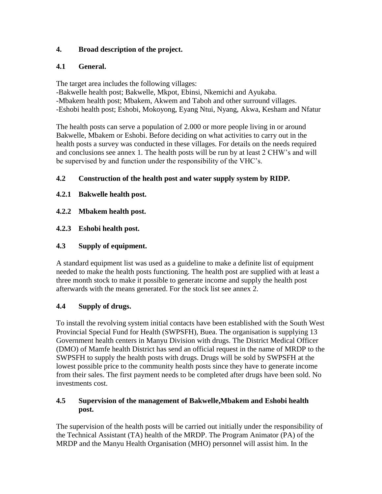# **4. Broad description of the project.**

## **4.1 General.**

The target area includes the following villages:

-Bakwelle health post; Bakwelle, Mkpot, Ebinsi, Nkemichi and Ayukaba. -Mbakem health post; Mbakem, Akwem and Taboh and other surround villages. -Eshobi health post; Eshobi, Mokoyong, Eyang Ntui, Nyang, Akwa, Kesham and Nfatur

The health posts can serve a population of 2.000 or more people living in or around Bakwelle, Mbakem or Eshobi. Before deciding on what activities to carry out in the health posts a survey was conducted in these villages. For details on the needs required and conclusions see annex 1. The health posts will be run by at least 2 CHW's and will be supervised by and function under the responsibility of the VHC's.

## **4.2 Construction of the health post and water supply system by RIDP.**

- **4.2.1 Bakwelle health post.**
- **4.2.2 Mbakem health post.**
- **4.2.3 Eshobi health post.**

## **4.3 Supply of equipment.**

A standard equipment list was used as a guideline to make a definite list of equipment needed to make the health posts functioning. The health post are supplied with at least a three month stock to make it possible to generate income and supply the health post afterwards with the means generated. For the stock list see annex 2.

# **4.4 Supply of drugs.**

To install the revolving system initial contacts have been established with the South West Provincial Special Fund for Health (SWPSFH), Buea. The organisation is supplying 13 Government health centers in Manyu Division with drugs. The District Medical Officer (DMO) of Mamfe health District has send an official request in the name of MRDP to the SWPSFH to supply the health posts with drugs. Drugs will be sold by SWPSFH at the lowest possible price to the community health posts since they have to generate income from their sales. The first payment needs to be completed after drugs have been sold. No investments cost.

### **4.5 Supervision of the management of Bakwelle,Mbakem and Eshobi health post.**

The supervision of the health posts will be carried out initially under the responsibility of the Technical Assistant (TA) health of the MRDP. The Program Animator (PA) of the MRDP and the Manyu Health Organisation (MHO) personnel will assist him. In the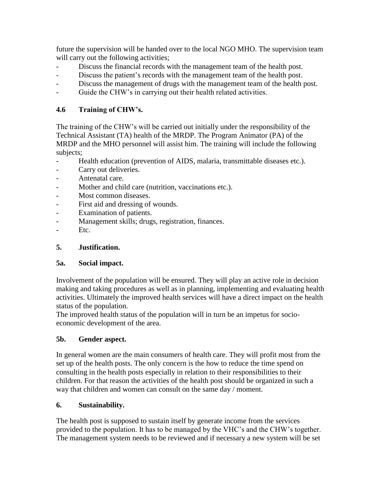future the supervision will be handed over to the local NGO MHO. The supervision team will carry out the following activities;

- Discuss the financial records with the management team of the health post.
- Discuss the patient's records with the management team of the health post.
- Discuss the management of drugs with the management team of the health post.
- Guide the CHW's in carrying out their health related activities.

# **4.6 Training of CHW's.**

The training of the CHW's will be carried out initially under the responsibility of the Technical Assistant (TA) health of the MRDP. The Program Animator (PA) of the MRDP and the MHO personnel will assist him. The training will include the following subjects;

- Health education (prevention of AIDS, malaria, transmittable diseases etc.).
- Carry out deliveries.
- Antenatal care.
- Mother and child care (nutrition, vaccinations etc.).
- Most common diseases.
- First aid and dressing of wounds.
- Examination of patients.
- Management skills; drugs, registration, finances.
- Etc.

### **5. Justification.**

### **5a. Social impact.**

Involvement of the population will be ensured. They will play an active role in decision making and taking procedures as well as in planning, implementing and evaluating health activities. Ultimately the improved health services will have a direct impact on the health status of the population.

The improved health status of the population will in turn be an impetus for socioeconomic development of the area.

### **5b. Gender aspect.**

In general women are the main consumers of health care. They will profit most from the set up of the health posts. The only concern is the how to reduce the time spend on consulting in the health posts especially in relation to their responsibilities to their children. For that reason the activities of the health post should be organized in such a way that children and women can consult on the same day / moment.

### **6. Sustainability.**

The health post is supposed to sustain itself by generate income from the services provided to the population. It has to be managed by the VHC's and the CHW's together. The management system needs to be reviewed and if necessary a new system will be set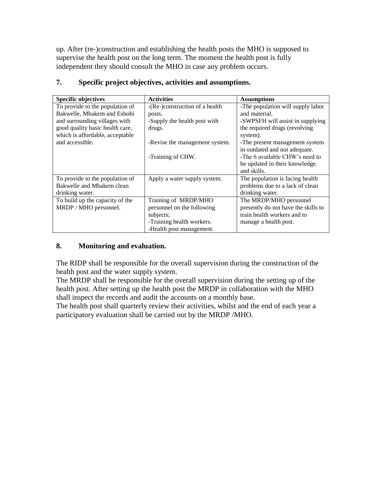up. After (re-)construction and establishing the health posts the MHO is supposed to supervise the health post on the long term. The moment the health post is fully independent they should consult the MHO in case any problem occurs.

| <b>Specific objectives</b>      | <b>Activities</b>              | <b>Assumptions</b>                  |
|---------------------------------|--------------------------------|-------------------------------------|
| To provide to the population of | -(Re-)construction of a health | -The population will supply labor   |
| Bakwelle, Mbakem and Eshobi     | posts.                         | and material.                       |
| and surrounding villages with   | -Supply the health post with   | -SWPSFH will assist in supplying    |
| good quality basic health care, | drugs.                         | the required drugs (revolving       |
| which is affordable, acceptable |                                | system).                            |
| and accessible.                 | -Revise the management system. | -The present management system      |
|                                 |                                | in outdated and not adequate.       |
|                                 | -Training of CHW.              | -The 6 available CHW's need to      |
|                                 |                                | be updated in their knowledge.      |
|                                 |                                | and skills.                         |
| To provide to the population of | Apply a water supply system.   | The population is facing health     |
| Bakwelle and Mbakem clean       |                                | problems due to a lack of clean     |
| drinking water.                 |                                | drinking water.                     |
| To build up the capacity of the | Training of MRDP/MHO           | The MRDP/MHO personnel              |
| MRDP / MHO personnel.           | personnel on the following     | presently do not have the skills to |
|                                 | subjects;                      | train health workers and to         |
|                                 | -Training health workers.      | manage a health post.               |
|                                 | -Health post management.       |                                     |

# **7. Specific project objectives, activities and assumptions.**

## **8. Monitoring and evaluation.**

The RIDP shall be responsible for the overall supervision during the construction of the health post and the water supply system.

The MRDP shall be responsible for the overall supervision during the setting up of the health post. After setting up the health post the MRDP in collaboration with the MHO shall inspect the records and audit the accounts on a monthly base.

The health post shall quarterly review their activities, whilst and the end of each year a participatory evaluation shall be carried out by the MRDP /MHO.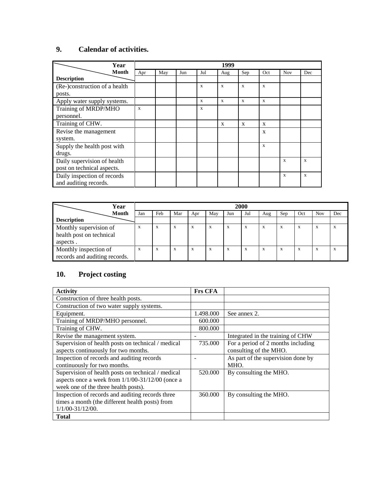# **9. Calendar of activities.**

| Year                          |     |     |     |              | 1999         |              |                           |            |     |
|-------------------------------|-----|-----|-----|--------------|--------------|--------------|---------------------------|------------|-----|
| <b>Month</b>                  | Apr | May | Jun | Jul          | Aug          | Sep          | Oct                       | <b>Nov</b> | Dec |
| <b>Description</b>            |     |     |     |              |              |              |                           |            |     |
| (Re-)construction of a health |     |     |     | X            | X            | $\mathbf{x}$ | $\mathbf x$               |            |     |
| posts.                        |     |     |     |              |              |              |                           |            |     |
| Apply water supply systems.   |     |     |     | X            | $\mathbf{x}$ | $\mathbf{x}$ | $\mathbf x$               |            |     |
| Training of MRDP/MHO          | X   |     |     | $\mathbf{x}$ |              |              |                           |            |     |
| personnel.                    |     |     |     |              |              |              |                           |            |     |
| Training of CHW.              |     |     |     |              | $\mathbf{x}$ | $\mathbf{x}$ | X                         |            |     |
| Revise the management         |     |     |     |              |              |              | $\boldsymbol{\mathrm{X}}$ |            |     |
| system.                       |     |     |     |              |              |              |                           |            |     |
| Supply the health post with   |     |     |     |              |              |              | $\mathbf{x}$              |            |     |
| drugs.                        |     |     |     |              |              |              |                           |            |     |
| Daily supervision of health   |     |     |     |              |              |              |                           | X          | X   |
| post on technical aspects.    |     |     |     |              |              |              |                           |            |     |
| Daily inspection of records   |     |     |     |              |              |              |                           | X          | X   |
| and auditing records.         |     |     |     |              |              |              |                           |            |     |

| Year                          | 2000 |     |     |     |     |     |           |     |     |     |            |     |
|-------------------------------|------|-----|-----|-----|-----|-----|-----------|-----|-----|-----|------------|-----|
| <b>Month</b>                  | Jan  | Feb | Mar | Apr | May | Jun | Jul       | Aug | Sep | Oct | <b>Nov</b> | Dec |
| <b>Description</b>            |      |     |     |     |     |     |           |     |     |     |            |     |
| Monthly supervision of        | X    | X   | X   | X   | X   | X   | X         | X   | X   | X   | $\Lambda$  | A   |
| health post on technical      |      |     |     |     |     |     |           |     |     |     |            |     |
| aspects.                      |      |     |     |     |     |     |           |     |     |     |            |     |
| Monthly inspection of         | X    | X   | X   | X   | X   | X   | $\lambda$ | X   | X   | X   |            |     |
| records and auditing records. |      |     |     |     |     |     |           |     |     |     |            |     |

# **10. Project costing**

| <b>Activity</b>                                    | <b>Frs CFA</b> |                                    |
|----------------------------------------------------|----------------|------------------------------------|
| Construction of three health posts.                |                |                                    |
| Construction of two water supply systems.          |                |                                    |
| Equipment.                                         | 1.498.000      | See annex 2.                       |
| Training of MRDP/MHO personnel.                    | 600.000        |                                    |
| Training of CHW.                                   | 800.000        |                                    |
| Revise the management system.                      |                | Integrated in the training of CHW  |
| Supervision of health posts on technical / medical | 735.000        | For a period of 2 months including |
| aspects continuously for two months.               |                | consulting of the MHO.             |
| Inspection of records and auditing records         |                | As part of the supervision done by |
| continuously for two months.                       |                | MHO.                               |
| Supervision of health posts on technical / medical | 520.000        | By consulting the MHO.             |
| aspects once a week from 1/1/00-31/12/00 (once a   |                |                                    |
| week one of the three health posts).               |                |                                    |
| Inspection of records and auditing records three   | 360,000        | By consulting the MHO.             |
| times a month (the different health posts) from    |                |                                    |
| $1/1/00 - 31/12/00$ .                              |                |                                    |
| <b>Total</b>                                       |                |                                    |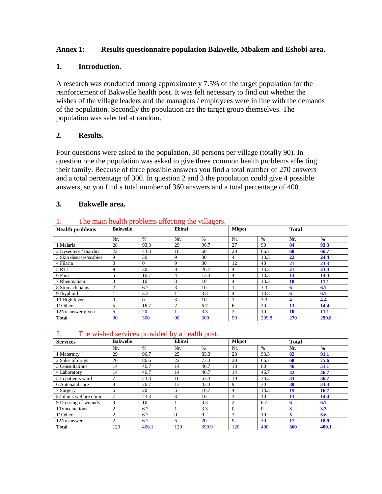### **Annex 1: Results questionnaire population Bakwelle, Mbakem and Eshobi area.**

#### **1. Introduction.**

A research was conducted among approximately 7.5% of the target population for the reinforcement of Bakwelle health post. It was felt necessary to find out whether the wishes of the village leaders and the managers / employees were in line with the demands of the population. Secondly the population are the target group themselves. The population was selected at random.

### **2. Results.**

Four questions were asked to the population, 30 persons per village (totally 90). In question one the population was asked to give three common health problems affecting their family. Because of three possible answers you find a total number of 270 answers and a total percentage of 300. In question 2 and 3 the population could give 4 possible answers, so you find a total number of 360 answers and a total percentage of 400.

#### **3. Bakwelle area.**

| <br>The main nearly problems arretting the vinagers. |                 |          |        |      |                |       |              |               |  |  |  |
|------------------------------------------------------|-----------------|----------|--------|------|----------------|-------|--------------|---------------|--|--|--|
| <b>Health problems</b>                               | <b>Bakwelle</b> |          | Ebinsi |      | <b>Mkpot</b>   |       | <b>Total</b> |               |  |  |  |
|                                                      |                 |          |        |      |                |       |              |               |  |  |  |
|                                                      | Nr.             | $\%$     | Nr.    | $\%$ | Nr.            | $\%$  | Nr.          | $\frac{0}{0}$ |  |  |  |
| 1 Malaria                                            | 28              | 93.3     | 29     | 96.7 | 27             | 90    | 84           | 93.3          |  |  |  |
| 2 Dysentery / diarrhea                               | 22              | 73.3     | 18     | 60   | 20             | 66.7  | 60           | 66.7          |  |  |  |
| 3 Skin diseases/scabies                              | 9               | 30       | 9      | 30   | 4              | 13.3  | 22           | 24.4          |  |  |  |
| 4 Filaria                                            | $\theta$        | $\Omega$ | 9      | 30   | 12             | 40    | 21           | 23.3          |  |  |  |
| 5 RTI                                                | 9               | 30       | 8      | 26.7 | 4              | 13.3  | 21           | 23.3          |  |  |  |
| 6 Pain                                               | 5               | 16.7     | 4      | 13.3 | $\overline{4}$ | 13.3  | 13           | 14.4          |  |  |  |
| 7 Rheumatism                                         | 3               | 10       | 3      | 10   | 4              | 13.3  | <b>10</b>    | 11.1          |  |  |  |
| 8 Stomach pains                                      | $\overline{c}$  | 6.7      | 3      | 10   |                | 3.3   | 6            | 6.7           |  |  |  |
| 9Thyphoid                                            |                 | 3.3      |        | 3.3  | 4              | 13.3  | 6            | 6.7           |  |  |  |
| 10 High fever                                        | 0               | 0        | 3      | 10   |                | 3.3   | 4            | 4.4           |  |  |  |
| 11Others                                             | 5               | 16.7     | 2      | 6.7  | 6              | 20    | 13           | 14.4          |  |  |  |
| 12No answer given                                    | 6               | 20       |        | 3.3  | 3              | 10    | <b>10</b>    | 11.1          |  |  |  |
| <b>Total</b>                                         | 90              | 300      | 90     | 300  | 90             | 299.8 | 270          | 299.8         |  |  |  |

#### 1. The main health problems affecting the villagers.

#### 2. The wished services provided by a health post.

| <b>Services</b>          | <b>Bakwelle</b> |       | Ebinsi        |          | Mkpot          |               | <b>Total</b> |               |
|--------------------------|-----------------|-------|---------------|----------|----------------|---------------|--------------|---------------|
|                          | Nr.             | $\%$  | Nr.           | $\%$     | Nr.            | $\frac{0}{0}$ | Nr.          | $\frac{0}{0}$ |
| 1 Maternity              | 29              | 96.7  | 25            | 83.3     | 28             | 93.3          | 82           | 91.1          |
| 2 Sales of drugs         | 26              | 86.6  | 22            | 73.3     | 20             | 66.7          | 68           | 75.6          |
| 3 Consultations          | 14              | 46.7  | 14            | 46.7     | 18             | 60            | 46           | 51.1          |
| 4 Laboratory             | 14              | 46.7  | 14            | 46.7     | 14             | 46.7          | 42           | 46.7          |
| 5 In patients ward       |                 | 23.3  | 16            | 53.3     | 10             | 33.3          | 33           | 36.7          |
| 6 Antenatal care         | 8               | 26.7  | 13            | 43.3     | 9              | 30            | 30           | 33.3          |
| 7 Surgery                | 6               | 20    | 5             | 16.7     | 4              | 13.3          | 15           | 16.7          |
| 8 Infants welfare clinic |                 | 23.3  | $\mathcal{R}$ | 10       | 3              | 10            | 13           | 14.4          |
| 9 Dressing of wounds     | 3               | 10    |               | 3.3      | $\overline{2}$ | 6.7           | 6            | 6.7           |
| 10Vaccinations           | $\mathfrak{D}$  | 6.7   |               | 3.3      | $\Omega$       | $\Omega$      | 3            | 3.3           |
| 11Others                 | $\overline{c}$  | 6.7   | $\Omega$      | $\Omega$ | 3              | 10            | 5            | 5.6           |
| 12No answer              | $\overline{c}$  | 6.7   | 6             | 20       | 9              | 30            | 17           | 18.9          |
| <b>Total</b>             | 120             | 400.1 | 120           | 399.9    | 120            | 400           | 360          | 400.1         |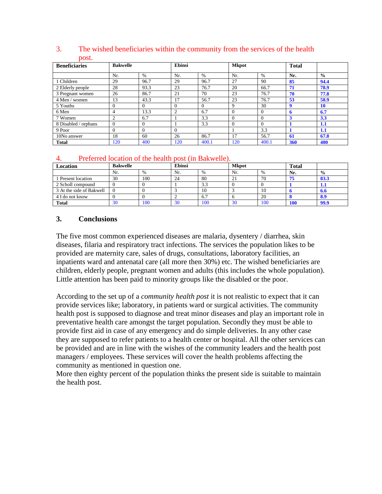| <b>Beneficiaries</b> |               | <b>Bakwelle</b> |          | Ebinsi   |          | <b>Mkpot</b>  |     |               |
|----------------------|---------------|-----------------|----------|----------|----------|---------------|-----|---------------|
|                      | Nr.           | $\%$            | Nr.      | $\%$     | Nr.      | $\frac{0}{0}$ | Nr. | $\frac{0}{0}$ |
| 1 Children           | 29            | 96.7            | 29       | 96.7     | 27       | 90            | 85  | 94.4          |
| 2 Elderly people     | 28            | 93.3            | 23       | 76.7     | 20       | 66.7          | 71  | 78.9          |
| 3 Pregnant women     | 26            | 86.7            | 21       | 70       | 23       | 76.7          | 70  | 77.8          |
| 4 Men / women        | 13            | 43.3            | 17       | 56.7     | 23       | 76.7          | 53  | 58.9          |
| 5 Youths             | $\Omega$      | 0               | $\Omega$ | $\Omega$ | 9        | 30            | 9   | <b>10</b>     |
| 6 Men                | 4             | 13.3            | 2        | 6.7      | $\theta$ | $\Omega$      | 6   | 6.7           |
| 7 Women              | $\mathcal{L}$ | 6.7             |          | 3.3      | $\Omega$ | $\Omega$      | 3   | 3.3           |
| 8 Disabled / orphans | $\Omega$      | $\Omega$        |          | 3.3      | $\Omega$ | $\Omega$      |     | 1.1           |
| 9 Poor               | $\theta$      | $\Omega$        | $\Omega$ |          |          | 3.3           |     | 1.1           |
| 10No answer          | 18            | 60              | 26       | 86.7     | 17       | 56.7          | 61  | 67.8          |
| <b>Total</b>         | 120           | 400             | 120      | 400.1    | 120      | 400.1         | 360 | 400           |

#### 3. The wished beneficiaries within the community from the services of the health post.

#### 4. Preferred location of the health post (in Bakwelle).

| Location                 | <b>Bakwelle</b> |               | Ebinsi | <b>Mkpot</b> |     |     | <b>Total</b> |               |
|--------------------------|-----------------|---------------|--------|--------------|-----|-----|--------------|---------------|
|                          | Nr.             | $\frac{0}{0}$ | Nr.    | %            | Nr. | %   | Nr.          | $\frac{0}{0}$ |
| Present location         | 30              | 100           | 24     | 80           | ∠⊥  | 70  | 75           | 83.3          |
| 2 Scholl compound        |                 |               |        | 3.3          |     |     |              | <b>1.1</b>    |
| 3 At the side of Bakwell |                 |               |        | 10           |     | 10  |              | 0.0           |
| 4 I do not know          |                 |               |        | 6.7          |     | 20  |              | 8.9           |
| <b>Total</b>             | 30              | 100           | 30     | 100          | 30  | 100 | 100          | 99.9          |

### **3. Conclusions**

The five most common experienced diseases are malaria, dysentery / diarrhea, skin diseases, filaria and respiratory tract infections. The services the population likes to be provided are maternity care, sales of drugs, consultations, laboratory facilities, an inpatients ward and antenatal care (all more then 30%) etc. The wished beneficiaries are children, elderly people, pregnant women and adults (this includes the whole population). Little attention has been paid to minority groups like the disabled or the poor.

According to the set up of a *community health post* it is not realistic to expect that it can provide services like; laboratory, in patients ward or surgical activities. The community health post is supposed to diagnose and treat minor diseases and play an important role in preventative health care amongst the target population. Secondly they must be able to provide first aid in case of any emergency and do simple deliveries. In any other case they are supposed to refer patients to a health center or hospital. All the other services can be provided and are in line with the wishes of the community leaders and the health post managers / employees. These services will cover the health problems affecting the community as mentioned in question one.

More then eighty percent of the population thinks the present side is suitable to maintain the health post.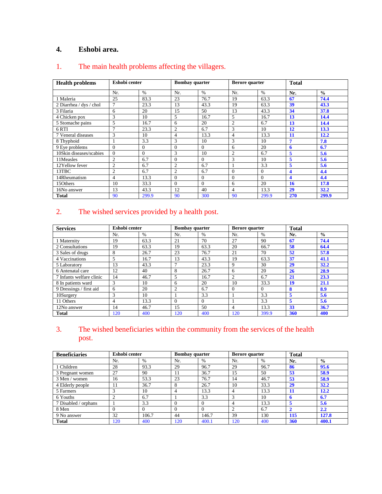# **4. Eshobi area.**

| <b>Health problems</b>  | Eshobi center  |          |                | <b>Bombay</b> quarter |                | <b>Berore</b> quarter | <b>Total</b> |               |
|-------------------------|----------------|----------|----------------|-----------------------|----------------|-----------------------|--------------|---------------|
|                         | Nr.            | $\%$     | Nr.            | $\frac{0}{0}$         | Nr.            | $\%$                  | Nr.          | $\frac{0}{0}$ |
| 1 Maleria               | 25             | 83.3     | 23             | 76.7                  | 19             | 63.3                  | 67           | 74.4          |
| 2 Diarrhea / dys / chol | $\overline{7}$ | 23.3     | 13             | 43.3                  | 19             | 63.3                  | 39           | 43.3          |
| 3 Filaria               | 6              | 20       | 15             | 50                    | 13             | 43.3                  | 34           | 37.8          |
| 4 Chicken pox           | 3              | 10       | 5              | 16.7                  | 5              | 16.7                  | 13           | 14.4          |
| 5 Stomache pains        | 5              | 16.7     | 6              | 20                    | $\overline{2}$ | 6.7                   | 13           | 14.4          |
| 6 RTI                   | $\mathcal{I}$  | 23.3     | $\overline{2}$ | 6.7                   | 3              | 10                    | 12           | 13.3          |
| 7 Veneral diseases      | 3              | 10       | 4              | 13.3                  | 4              | 13.3                  | 11           | 12.2          |
| 8 Thyphoid              |                | 3.3      | 3              | 10                    | 3              | 10                    | 7            | 7.8           |
| 9 Eye problems          | $\theta$       | $\Omega$ | $\Omega$       | $\Omega$              | 6              | 20                    | 6            | 6.7           |
| 10Skin diseases/scabies | $\theta$       | $\theta$ | 3              | 10                    | $\overline{c}$ | 6.7                   | 5            | 5.6           |
| 11Measles               | $\overline{c}$ | 6.7      | $\theta$       | $\Omega$              | 3              | 10                    | 5            | 5.6           |
| 12Yellow fever          | $\overline{2}$ | 6.7      | $\overline{2}$ | 6.7                   |                | 3.3                   | 5            | 5.6           |
| 13TBC                   | $\overline{2}$ | 6.7      | 2              | 6.7                   | $\Omega$       | $\Omega$              | 4            | 4.4           |
| 14Rheumatism            | 4              | 13.3     | $\mathbf{0}$   | $\mathbf{0}$          | $\Omega$       | $\theta$              | 4            | 4.4           |
| 15Others                | 10             | 33.3     | $\Omega$       | $\Omega$              | 6              | 20                    | 16           | 17.8          |
| 16No answer             | 13             | 43.3     | 12             | 40                    | 4              | 13.3                  | 29           | 32.2          |
| <b>Total</b>            | 90             | 299.9    | 90             | 300                   | 90             | 299.9                 | 270          | 299.9         |

# 1. The main health problems affecting the villagers.

# 2. The wished services provided by a health post.

| <b>Services</b>          | Eshobi center  |      |              | <b>Bombay</b> quarter | <b>Berore</b> quarter |          | <b>Total</b> |               |
|--------------------------|----------------|------|--------------|-----------------------|-----------------------|----------|--------------|---------------|
|                          | Nr.            | $\%$ | Nr.          | $\%$                  | Nr.                   | $\%$     | Nr.          | $\frac{0}{0}$ |
| 1 Maternity              | 19             | 63.3 | 21           | 70                    | 27                    | 90       | 67           | 74.4          |
| 2 Consultations          | 19             | 63.3 | 19           | 63.3                  | 20                    | 66.7     | 58           | 64.4          |
| 3 Sales of drugs         | 8              | 26.7 | 23           | 76.7                  | 21                    | 70       | 52           | 57.8          |
| 4 Vaccinations           | 5              | 16.7 | 13           | 43.3                  | 19                    | 63.3     | 37           | 41.1          |
| 5 Laboratory             | 13             | 43.3 | $\mathbf{r}$ | 23.3                  | 9                     | 30       | 29           | 32.2          |
| 6 Antenatal care         | 12             | 40   | 8            | 26.7                  | 6                     | 20       | 26           | 28.9          |
| 7 Infants welfare clinic | 14             | 46.7 | 5            | 16.7                  | $\overline{c}$        | 6.7      | 21           | 23.3          |
| 8 In patients ward       | 3              | 10   | 6            | 20                    | 10                    | 33.3     | 19           | 21.1          |
| 9 Dressings / first aid  | 6              | 20   | 2            | 6.7                   | $\Omega$              | $\Omega$ | 8            | 8.9           |
| 10Surgery                | 3              | 10   |              | 3.3                   |                       | 3.3      | 5            | 5.6           |
| 11 Others                | $\overline{4}$ | 13.3 | $\Omega$     | $\Omega$              |                       | 3.3      | 5            | 5.6           |
| 12No answer              | 14             | 46.7 | 15           | 50                    | 4                     | 13.3     | 33           | 36.7          |
| <b>Total</b>             | 120            | 400  | 120          | 400                   | 120                   | 399.9    | 360          | 400           |

# 3. The wished beneficiaries within the community from the services of the health post.

| <b>Beneficiaries</b> | Eshobi center |       | <b>Bombay quarter</b> |       | Berore quarter |      | <b>Total</b>  |               |
|----------------------|---------------|-------|-----------------------|-------|----------------|------|---------------|---------------|
|                      | Nr.           | $\%$  | Nr.                   | $\%$  | Nr.            | $\%$ | Nr.           | $\frac{0}{0}$ |
| 1 Children           | 28            | 93.3  | 29                    | 96.7  | 29             | 96.7 | 86            | 95.6          |
| 3 Pregnant women     | 27            | 90    | 11                    | 36.7  | 15             | 50   | 53            | 58.9          |
| 3 Men / women        | 16            | 53.3  | 23                    | 76.7  | 14             | 46.7 | 53            | 58.9          |
| 4 Elderly people     |               | 36.7  | 8                     | 26.7  | 10             | 33.3 | 29            | 32.2          |
| 5 Farmers            |               | 10    |                       | 13.3  | 4              | 13.3 | 11            | 12.2          |
| 6 Youths             |               | 6.7   |                       | 3.3   | ◠              | 10   | ħ             | 6.7           |
| 7 Disabled / orphans |               | 3.3   |                       |       |                | 13.3 | 5             | 5.6           |
| 8 Men                |               |       |                       |       | $\bigcap$      | 6.7  | $\mathcal{D}$ | 2.2           |
| 9 No answer          | 32            | 106.7 | 44                    | 146.7 | 39             | 130  | 115           | 127.8         |
| <b>Total</b>         | 20            | 400   | 120                   | 400.1 | 120            | 400  | 360           | 400.1         |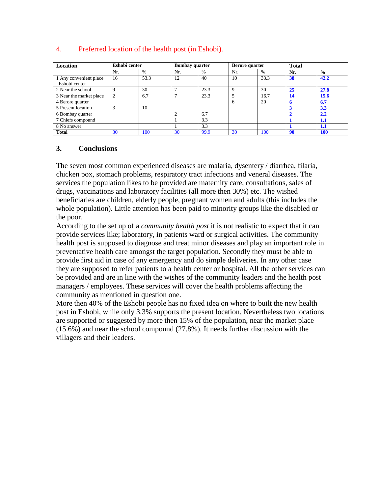| Location                | Eshobi center  |      |     | <b>Bombay</b> quarter | <b>Berore</b> quarter |      | <b>Total</b>  |               |
|-------------------------|----------------|------|-----|-----------------------|-----------------------|------|---------------|---------------|
|                         | Nr.            | $\%$ | Nr. | $\%$                  | Nr.                   | $\%$ | Nr.           | $\frac{0}{0}$ |
| 1 Any convenient place  | 16             | 53.3 | 12  | 40                    | 10                    | 33.3 | 38            | 42.2          |
| Eshobi center           |                |      |     |                       |                       |      |               |               |
| 2 Near the school       |                | 30   |     | 23.3                  | Q                     | 30   | 25            | 27.8          |
| 3 Near the market place | $\overline{2}$ | 6.7  |     | 23.3                  |                       | 16.7 | 14            | 15.6          |
| 4 Berore quarter        |                |      |     |                       | 6                     | 20   |               | 6.7           |
| 5 Present location      |                | 10   |     |                       |                       |      | 3             | 3.3           |
| 6 Bombay quarter        |                |      |     | 6.7                   |                       |      | $\mathcal{P}$ | 2.2           |
| 7 Chiefs compound       |                |      |     | 3.3                   |                       |      |               | 1.1           |
| 8 No answer             |                |      |     | 3.3                   |                       |      |               | 1.1           |
| <b>Total</b>            | 30             | 100  | 30  | 99.9                  | 30                    | 100  | 90            | <b>100</b>    |

### 4. Preferred location of the health post (in Eshobi).

#### **3. Conclusions**

The seven most common experienced diseases are malaria, dysentery / diarrhea, filaria, chicken pox, stomach problems, respiratory tract infections and veneral diseases. The services the population likes to be provided are maternity care, consultations, sales of drugs, vaccinations and laboratory facilities (all more then 30%) etc. The wished beneficiaries are children, elderly people, pregnant women and adults (this includes the whole population). Little attention has been paid to minority groups like the disabled or the poor.

According to the set up of a *community health post* it is not realistic to expect that it can provide services like; laboratory, in patients ward or surgical activities. The community health post is supposed to diagnose and treat minor diseases and play an important role in preventative health care amongst the target population. Secondly they must be able to provide first aid in case of any emergency and do simple deliveries. In any other case they are supposed to refer patients to a health center or hospital. All the other services can be provided and are in line with the wishes of the community leaders and the health post managers / employees. These services will cover the health problems affecting the community as mentioned in question one.

More then 40% of the Eshobi people has no fixed idea on where to built the new health post in Eshobi, while only 3.3% supports the present location. Nevertheless two locations are supported or suggested by more then 15% of the population, near the market place (15.6%) and near the school compound (27.8%). It needs further discussion with the villagers and their leaders.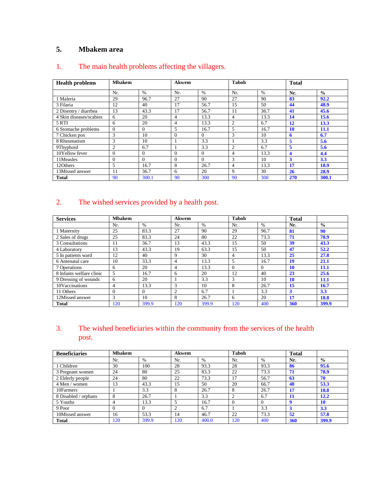# **5. Mbakem area**

| <b>Health problems</b>  | <b>Mbakem</b>  |          | Akwem    |          | <b>Taboh</b>   |      | <b>Total</b> |               |
|-------------------------|----------------|----------|----------|----------|----------------|------|--------------|---------------|
|                         | Nr.            | $\%$     | Nr.      | $\%$     | Nr.            | $\%$ | Nr.          | $\frac{0}{0}$ |
| 1 Maleria               | 29             | 96.7     | 27       | 90       | 27             | 90   | 83           | 92.2          |
| 3 Filaria               | 12             | 40       | 17       | 56.7     | 15             | 50   | 44           | 48.9          |
| 2 Disentry / diarrhea   | 13             | 43.3     | 17       | 56.7     | 11             | 36.7 | 41           | 45.6          |
| 4 Skin diseases/scabies | 6              | 20       | 4        | 13.3     | $\overline{4}$ | 13.3 | 14           | 15.6          |
| 5 RTI                   | 6              | 20       | 4        | 13.3     | $\overline{2}$ | 6.7  | 12           | 13.3          |
| 6 Stomache problems     | $\theta$       | $\Omega$ | 5        | 16.7     | 5              | 16.7 | 10           | 11.1          |
| 7 Chicken pox           | 3              | 10       | $\Omega$ | $\Omega$ | 3              | 10   | 6            | 6.7           |
| 8 Rheumatism            | 3              | 10       |          | 3.3      |                | 3.3  | 5            | 5.6           |
| 9Thyphoid               | $\overline{2}$ | 6.7      |          | 3.3      | $\overline{2}$ | 6.7  | 5            | 5.6           |
| 10Yellow fever          | $\Omega$       | $\Omega$ | $\Omega$ | $\Omega$ | 4              | 13.3 | 4            | 4.4           |
| 11Measles               | $\Omega$       | $\Omega$ | $\Omega$ | $\Omega$ | 3              | 10   | 3            | 3.3           |
| 12Others                | 5              | 16.7     | 8        | 26.7     | 4              | 13.3 | 17           | 18.9          |
| 13Missed answer         | 11             | 36.7     | 6        | 20       | $\mathbf Q$    | 30   | 26           | 28.9          |
| <b>Total</b>            | 90             | 300.1    | 90       | 300      | 90             | 300  | 270          | 300.1         |

# 1. The main health problems affecting the villagers.

# 2. The wished services provided by a health post.

| <b>Services</b>          | <b>Mbakem</b> |       | Akwem |       | <b>Taboh</b> |      | <b>Total</b> |               |
|--------------------------|---------------|-------|-------|-------|--------------|------|--------------|---------------|
|                          | Nr.           | $\%$  | Nr.   | $\%$  | Nr.          | $\%$ | Nr.          | $\frac{0}{0}$ |
| 1 Maternity              | 25            | 83.3  | 27    | 90    | 29           | 96.7 | 81           | 90            |
| 2 Sales of drugs         | 25            | 83.3  | 24    | 80    | 22           | 73.3 | 71           | 78.9          |
| 3 Consultations          |               | 36.7  | 13    | 43.3  | 15           | 50   | 39           | 43.3          |
| 4 Laboratory             | 13            | 43.3  | 19    | 63.3  | 15           | 50   | 47           | 52.2          |
| 5 In patients ward       | 12            | 40    | 9     | 30    | 4            | 13.3 | 25           | 27.8          |
| 6 Antenatal care         | 10            | 33.3  | 4     | 13.3  | 5            | 16.7 | 19           | 21.1          |
| 7 Operations             | 6             | 20    | 4     | 13.3  | $\Omega$     | 0    | <b>10</b>    | 11.1          |
| 8 Infants welfare clinic | 5             | 16.7  | 6     | 20    | 12           | 40   | 23           | 25.6          |
| 9 Dressing of wounds     | 6             | 20    |       | 3.3   | 3            | 10   | <b>10</b>    | 11.1          |
| 10Vaccinations           | 4             | 13.3  | 3     | 10    | 8            | 26.7 | 15           | 16.7          |
| 11 Others                |               | 0     | 2     | 6.7   |              | 3.3  | 3            | 3.3           |
| 12Missed answer          | 3             | 10    | 8     | 26.7  | 6            | 20   | 17           | 18.8          |
| <b>Total</b>             | 120           | 399.9 | 120   | 399.9 | 120          | 400  | 360          | 399.9         |

# 3. The wished beneficiaries within the community from the services of the health post.

| <b>Beneficiaries</b> | <b>Mbakem</b> |       | <b>Akwem</b> |       | <b>Taboh</b> |          | <b>Total</b>     |               |
|----------------------|---------------|-------|--------------|-------|--------------|----------|------------------|---------------|
|                      | Nr.           | $\%$  | Nr.          | $\%$  | Nr.          | $\%$     | Nr.              | $\frac{0}{0}$ |
| 1 Children           | 30            | 100   | 28           | 93.3  | 28           | 93.3     | 86               | 95.6          |
| 3 Pregnant women     | 24            | 80    | 25           | 83.3  | 22           | 73.3     | 71               | 78.9          |
| 2 Elderly people     | 24            | 80    | 22           | 73.3  | 17           | 56.7     | 63               | 70            |
| 4 Men / women        | 13            | 43.3  | 15           | 50    | 20           | 66.7     | 48               | 53.3          |
| 10Farmers            |               | 3.3   | 8            | 26.7  | 8            | 26.7     | 17               | 18.8          |
| 8 Disabled / orphans | 8             | 26.7  |              | 3.3   | ◠            | 6.7      | 11               | 12.2          |
| 5 Youths             |               | 13.3  |              | 16.7  | $\Omega$     | $\Omega$ | $\mathbf \Omega$ | <b>10</b>     |
| 9 Poor               |               |       | ◠            | 6.7   |              | 3.3      | 3                | 3.3           |
| 10Missed answer      | 16            | 53.3  | 14           | 46.7  | 22           | 73.3     | 52               | 57.8          |
| <b>Total</b>         | 120           | 399.9 | 120          | 400.0 | 120          | 400      | 360              | 399.9         |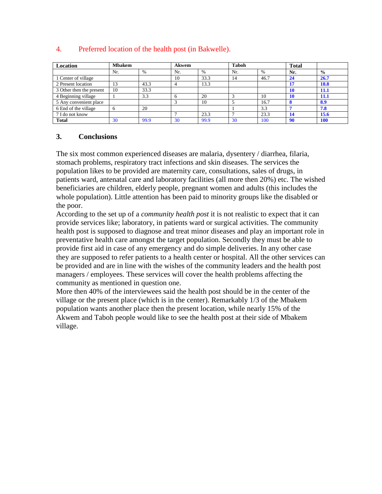| Location                 | <b>Mbakem</b> |               | <b>Akwem</b> |      | <b>Taboh</b> |               | <b>Total</b> |               |
|--------------------------|---------------|---------------|--------------|------|--------------|---------------|--------------|---------------|
|                          | Nr.           | $\frac{0}{0}$ | Nr.          | $\%$ | Nr.          | $\frac{0}{0}$ | Nr.          | $\frac{0}{0}$ |
| 1 Center of village      |               |               | 10           | 33.3 | 14           | 46.7          | 24           | 26.7          |
| 2 Present location       | 13            | 43.3          |              | 13.3 |              |               | 17           | 18.8          |
| 3 Other then the present | 10            | 33.3          |              |      |              |               | 10           | 11.1          |
| 4 Beginning village      |               | 3.3           |              | 20   |              | 10            | 10           | 11.1          |
| 5 Any convenient place   |               |               |              | 10   |              | 16.7          |              | 8.9           |
| 6 End of the village     |               | 20            |              |      |              | 3.3           |              | 7.8           |
| 7 I do not know          |               |               |              | 23.3 |              | 23.3          | 14           | 15.6          |
| <b>Total</b>             | 30            | 99.9          | 30           | 99.9 | 30           | 100           | 90           | <b>100</b>    |

### 4. Preferred location of the health post (in Bakwelle).

#### **3. Conclusions**

The six most common experienced diseases are malaria, dysentery / diarrhea, filaria, stomach problems, respiratory tract infections and skin diseases. The services the population likes to be provided are maternity care, consultations, sales of drugs, in patients ward, antenatal care and laboratory facilities (all more then 20%) etc. The wished beneficiaries are children, elderly people, pregnant women and adults (this includes the whole population). Little attention has been paid to minority groups like the disabled or the poor.

According to the set up of a *community health post* it is not realistic to expect that it can provide services like; laboratory, in patients ward or surgical activities. The community health post is supposed to diagnose and treat minor diseases and play an important role in preventative health care amongst the target population. Secondly they must be able to provide first aid in case of any emergency and do simple deliveries. In any other case they are supposed to refer patients to a health center or hospital. All the other services can be provided and are in line with the wishes of the community leaders and the health post managers / employees. These services will cover the health problems affecting the community as mentioned in question one.

More then 40% of the interviewees said the health post should be in the center of the village or the present place (which is in the center). Remarkably 1/3 of the Mbakem population wants another place then the present location, while nearly 15% of the Akwem and Taboh people would like to see the health post at their side of Mbakem village.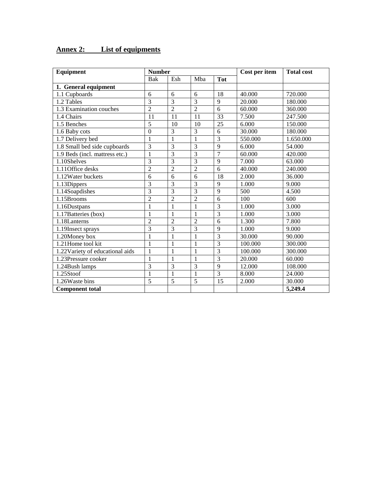| Equipment                        | <b>Number</b>  |                |                |                | Cost per item | <b>Total cost</b> |
|----------------------------------|----------------|----------------|----------------|----------------|---------------|-------------------|
|                                  | Bak            | Esh            | Mba            | <b>Tot</b>     |               |                   |
| 1. General equipment             |                |                |                |                |               |                   |
| 1.1 Cupboards                    | 6              | 6              | 6              | 18             | 40.000        | 720.000           |
| 1.2 Tables                       | $\overline{3}$ | $\overline{3}$ | 3              | $\overline{9}$ | 20.000        | 180.000           |
| 1.3 Examination couches          | $\overline{2}$ | $\overline{2}$ | $\overline{2}$ | 6              | 60.000        | 360.000           |
| 1.4 Chairs                       | 11             | 11             | 11             | 33             | 7.500         | 247.500           |
| 1.5 Benches                      | 5              | 10             | 10             | 25             | 6.000         | 150.000           |
| 1.6 Baby cots                    | $\mathbf{0}$   | 3              | 3              | 6              | 30.000        | 180.000           |
| 1.7 Delivery bed                 | 1              | $\mathbf{1}$   | 1              | $\overline{3}$ | 550.000       | 1.650.000         |
| 1.8 Small bed side cupboards     | 3              | $\overline{3}$ | $\overline{3}$ | 9              | 6.000         | 54.000            |
| 1.9 Beds (incl. mattress etc.)   | $\mathbf{1}$   | $\overline{3}$ | 3              | $\overline{7}$ | 60.000        | 420.000           |
| 1.10Shelves                      | 3              | $\overline{3}$ | 3              | 9              | 7.000         | 63.000            |
| 1.11 Office desks                | $\overline{c}$ | $\overline{2}$ | $\overline{2}$ | 6              | 40.000        | 240.000           |
| 1.12Water buckets                | 6              | 6              | 6              | 18             | 2.000         | 36.000            |
| 1.13Dippers                      | 3              | 3              | 3              | $\overline{9}$ | 1.000         | 9.000             |
| 1.14Soapdishes                   | 3              | 3              | 3              | 9              | 500           | 4.500             |
| 1.15Brooms                       | $\overline{c}$ | $\overline{2}$ | $\overline{c}$ | 6              | 100           | 600               |
| 1.16Dustpans                     | 1              | $\mathbf{1}$   | 1              | 3              | 1.000         | 3.000             |
| 1.17Batteries (box)              | $\mathbf{1}$   | $\mathbf{1}$   | 1              | $\overline{3}$ | 1.000         | 3.000             |
| 1.18Lanterns                     | $\overline{c}$ | $\overline{2}$ | $\overline{2}$ | 6              | 1.300         | 7.800             |
| 1.19Insect sprays                | 3              | $\overline{3}$ | 3              | 9              | 1.000         | 9.000             |
| 1.20Money box                    | $\mathbf{1}$   | $\mathbf{1}$   | 1              | $\overline{3}$ | 30.000        | 90.000            |
| 1.21Home tool kit                | 1              | $\mathbf{1}$   | 1              | $\overline{3}$ | 100.000       | 300.000           |
| 1.22 Variety of educational aids | $\mathbf{1}$   | $\mathbf{1}$   | 1              | $\overline{3}$ | 100.000       | 300.000           |
| 1.23Pressure cooker              | 1              | $\mathbf{1}$   | 1              | $\overline{3}$ | 20.000        | 60.000            |
| 1.24Bush lamps                   | 3              | $\overline{3}$ | 3              | $\overline{9}$ | 12.000        | 108.000           |
| 1.25Stoof                        | 1              | 1              | 1              | $\overline{3}$ | 8.000         | 24.000            |
| 1.26Waste bins                   | 5              | 5              | 5              | 15             | 2.000         | 30.000            |
| <b>Component total</b>           |                |                |                |                |               | 5,249.4           |

# **Annex 2: List of equipments**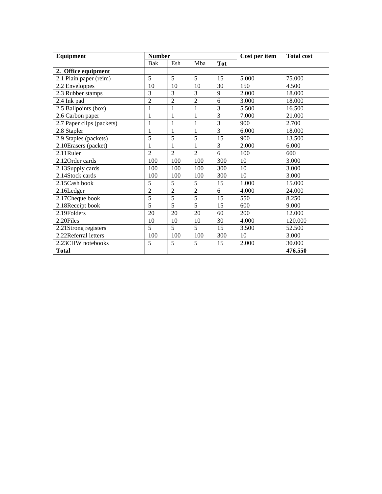| Equipment                 | <b>Number</b>  |                |                |                | Cost per item | <b>Total cost</b> |
|---------------------------|----------------|----------------|----------------|----------------|---------------|-------------------|
|                           | Bak            | Esh            | Mba            | <b>Tot</b>     |               |                   |
| 2. Office equipment       |                |                |                |                |               |                   |
| 2.1 Plain paper (reim)    | 5              | 5              | 5              | 15             | 5.000         | 75.000            |
| 2.2 Enveloppes            | 10             | 10             | 10             | 30             | 150           | 4.500             |
| 2.3 Rubber stamps         | 3              | 3              | 3              | 9              | 2.000         | 18.000            |
| 2.4 Ink pad               | $\overline{2}$ | $\overline{2}$ | $\overline{2}$ | 6              | 3.000         | 18.000            |
| 2.5 Ballpoints (box)      | $\mathbf{1}$   | $\mathbf{1}$   | $\mathbf{1}$   | $\overline{3}$ | 5.500         | 16.500            |
| 2.6 Carbon paper          | $\mathbf{1}$   | $\mathbf{1}$   | $\mathbf{1}$   | 3              | 7.000         | 21.000            |
| 2.7 Paper clips (packets) | $\mathbf{1}$   | 1              | 1              | $\overline{3}$ | 900           | 2.700             |
| 2.8 Stapler               | $\mathbf{1}$   | $\mathbf{1}$   | 1              | 3              | 6.000         | 18.000            |
| 2.9 Staples (packets)     | 5              | 5              | 5              | 15             | 900           | 13.500            |
| 2.10 Erasers (packet)     | 1              | 1              | 1              | 3              | 2.000         | 6.000             |
| 2.11Ruler                 | $\mathfrak{D}$ | $\overline{2}$ | $\overline{2}$ | 6              | 100           | 600               |
| 2.12 Order cards          | 100            | 100            | 100            | 300            | 10            | 3.000             |
| 2.13Supply cards          | 100            | 100            | 100            | 300            | 10            | 3.000             |
| 2.14Stock cards           | 100            | 100            | 100            | 300            | 10            | 3.000             |
| 2.15Cash book             | 5              | 5              | 5              | 15             | 1.000         | 15.000            |
| 2.16Ledger                | $\overline{2}$ | $\overline{2}$ | $\overline{2}$ | 6              | 4.000         | 24.000            |
| 2.17 Cheque book          | 5              | 5              | 5              | 15             | 550           | 8.250             |
| 2.18Receipt book          | 5              | 5              | $\overline{5}$ | 15             | 600           | 9.000             |
| 2.19Folders               | 20             | 20             | 20             | 60             | 200           | 12.000            |
| 2.20Files                 | 10             | 10             | 10             | 30             | 4.000         | 120.000           |
| 2.21Strong registers      | 5              | 5              | $\overline{5}$ | 15             | 3.500         | 52.500            |
| 2.22Referral letters      | 100            | 100            | 100            | 300            | 10            | 3.000             |
| 2.23CHW notebooks         | 5              | 5              | 5              | 15             | 2.000         | 30.000            |
| <b>Total</b>              |                |                |                |                |               | 476.550           |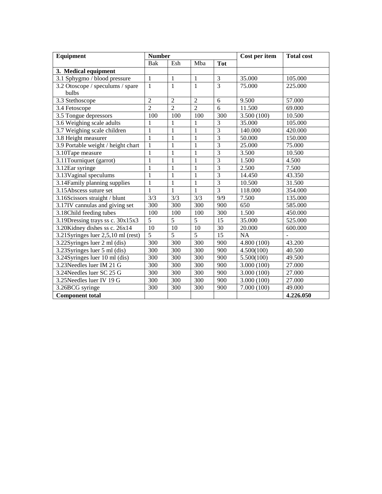| Equipment                          | <b>Number</b>  |                |                |                | Cost per item | <b>Total cost</b> |
|------------------------------------|----------------|----------------|----------------|----------------|---------------|-------------------|
|                                    | Bak            | Esh            | Mba            | <b>Tot</b>     |               |                   |
| 3. Medical equipment               |                |                |                |                |               |                   |
| 3.1 Sphygmo / blood pressure       | $\mathbf{1}$   | $\mathbf{1}$   | $\mathbf{1}$   | 3              | 35.000        | 105.000           |
| 3.2 Otoscope / speculums / spare   | $\mathbf{1}$   | $\mathbf{1}$   | $\mathbf{1}$   | $\overline{3}$ | 75.000        | 225.000           |
| bulbs                              |                |                |                |                |               |                   |
| 3.3 Stethoscope                    | $\overline{c}$ | $\overline{2}$ | $\overline{2}$ | 6              | 9.500         | 57.000            |
| 3.4 Fetoscope                      | $\overline{2}$ | $\overline{2}$ | $\overline{2}$ | 6              | 11.500        | 69.000            |
| 3.5 Tongue depressors              | 100            | 100            | 100            | 300            | 3.500 (100)   | 10.500            |
| 3.6 Weighing scale adults          | 1              | 1              | 1              | 3              | 35.000        | 105.000           |
| 3.7 Weighing scale children        | $\mathbf{1}$   | 1              | 1              | $\overline{3}$ | 140.000       | 420.000           |
| 3.8 Height measurer                | $\mathbf{1}$   | $\mathbf{1}$   | 1              | $\overline{3}$ | 50.000        | 150.000           |
| 3.9 Portable weight / height chart | 1              | 1              | 1              | 3              | 25.000        | 75.000            |
| 3.10Tape measure                   | $\mathbf{1}$   | $\mathbf{1}$   | 1              | $\overline{3}$ | 3.500         | 10.500            |
| 3.11Tourniquet (garrot)            | $\mathbf{1}$   | $\mathbf{1}$   | $\mathbf{1}$   | $\overline{3}$ | 1.500         | 4.500             |
| 3.12Ear syringe                    | $\mathbf{1}$   | $\mathbf{1}$   | 1              | $\overline{3}$ | 2.500         | 7.500             |
| 3.13 Vaginal speculums             | $\mathbf{1}$   | 1              | 1              | $\overline{3}$ | 14.450        | 43.350            |
| 3.14Family planning supplies       | $\mathbf{1}$   | $\mathbf{1}$   | 1              | $\overline{3}$ | 10.500        | 31.500            |
| 3.15Abscess suture set             | $\mathbf{1}$   | $\mathbf{1}$   | 1              | $\overline{3}$ | 118.000       | 354.000           |
| 3.16Scissors straight / blunt      | 3/3            | 3/3            | 3/3            | 9/9            | 7.500         | 135.000           |
| 3.17IV cannulas and giving set     | 300            | 300            | 300            | 900            | 650           | 585.000           |
| 3.18Child feeding tubes            | 100            | 100            | 100            | 300            | 1.500         | 450.000           |
| 3.19Dressing trays ss c. 30x15x3   | $\overline{5}$ | $\overline{5}$ | $\overline{5}$ | 15             | 35.000        | 525.000           |
| 3.20Kidney dishes ss c. 26x14      | 10             | 10             | 10             | 30             | 20.000        | 600.000           |
| 3.21Syringes luer 2,5,10 ml (rest) | $\overline{5}$ | 5              | 5              | 15             | <b>NA</b>     |                   |
| 3.22Syringes luer 2 ml (dis)       | 300            | 300            | 300            | 900            | 4.800 (100)   | 43.200            |
| 3.23Syringes luer 5 ml (dis)       | 300            | 300            | 300            | 900            | 4.500(100)    | 40.500            |
| 3.24Syringes luer 10 ml (dis)      | 300            | 300            | 300            | 900            | 5.500(100)    | 49.500            |
| 3.23Needles luer IM 21 G           | 300            | 300            | 300            | 900            | 3.000(100)    | 27.000            |
| 3.24Needles luer SC 25 G           | 300            | 300            | 300            | 900            | 3.000(100)    | 27.000            |
| 3.25Needles luer IV 19 G           | 300            | 300            | 300            | 900            | 3.000(100)    | 27.000            |
| 3.26BCG syringe                    | 300            | 300            | 300            | 900            | 7.000(100)    | 49.000            |
| <b>Component total</b>             |                |                |                |                |               | 4.226.050         |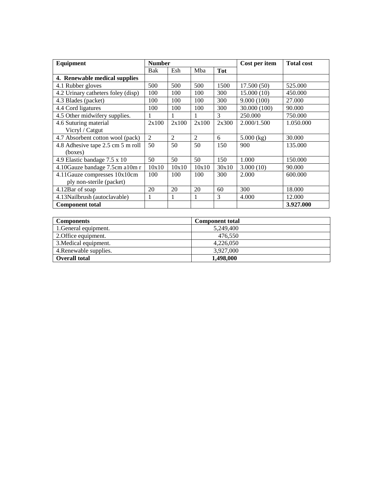| Equipment                          | <b>Number</b>  |                |                |            | Cost per item | <b>Total cost</b> |
|------------------------------------|----------------|----------------|----------------|------------|---------------|-------------------|
|                                    | Bak            | Esh            | Mba            | <b>Tot</b> |               |                   |
| 4. Renewable medical supplies      |                |                |                |            |               |                   |
| 4.1 Rubber gloves                  | 500            | 500            | 500            | 1500       | 17.500(50)    | 525.000           |
| 4.2 Urinary catheters foley (disp) | 100            | 100            | 100            | 300        | 15.000(10)    | 450.000           |
| 4.3 Blades (packet)                | 100            | 100            | 100            | 300        | 9.000(100)    | 27.000            |
| 4.4 Cord ligatures                 | 100            | 100            | 100            | 300        | 30.000 (100)  | 90.000            |
| 4.5 Other midwifery supplies.      | 1              | 1              |                | 3          | 250,000       | 750.000           |
| 4.6 Suturing material              | 2x100          | 2x100          | 2x100          | 2x300      | 2.000/1.500   | 1.050.000         |
| Vicryl / Catgut                    |                |                |                |            |               |                   |
| 4.7 Absorbent cotton wool (pack)   | $\overline{2}$ | $\overline{2}$ | $\mathfrak{D}$ | 6          | $5.000$ (kg)  | 30.000            |
| 4.8 Adhesive tape 2.5 cm 5 m roll  | 50             | 50             | 50             | 150        | 900           | 135.000           |
| (boxes)                            |                |                |                |            |               |                   |
| 4.9 Elastic bandage 7.5 x 10       | 50             | 50             | 50             | 150        | 1.000         | 150.000           |
| 4.10Gauze bandage 7.5cm a10m r     | 10x10          | 10x10          | 10x10          | 30x10      | 3.000(10)     | 90.000            |
| 4.11Gauze compresses 10x10cm       | 100            | 100            | 100            | 300        | 2.000         | 600.000           |
| ply non-sterile (packet)           |                |                |                |            |               |                   |
| 4.12Bar of soap                    | 20             | 20             | 20             | 60         | 300           | 18.000            |
| 4.13Nailbrush (autoclavable)       | 1              | 1              |                | 3          | 4.000         | 12.000            |
| <b>Component total</b>             |                |                |                |            |               | 3.927.000         |

| <b>Components</b>      | <b>Component total</b> |
|------------------------|------------------------|
| 1. General equipment.  | 5,249,400              |
| 2. Office equipment.   | 476.550                |
| 3. Medical equipment.  | 4,226,050              |
| 4. Renewable supplies. | 3.927,000              |
| <b>Overall total</b>   | 1,498,000              |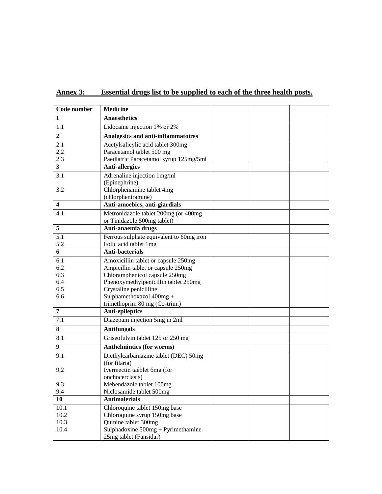| Code number             | <b>Medicine</b>                                                     |  |  |
|-------------------------|---------------------------------------------------------------------|--|--|
| 1                       | <b>Anaesthetics</b>                                                 |  |  |
| 1.1                     | Lidocaine injection 1% or 2%                                        |  |  |
| $\overline{2}$          | Analgesics and anti-inflammatoires                                  |  |  |
| 2.1                     | Acetylsalicylic acid tablet 300mg                                   |  |  |
| 2.2                     | Paracetamol tablet 500 mg                                           |  |  |
| 2.3                     | Paediatric Paracetamol syrup 125mg/5ml                              |  |  |
| 3                       | <b>Anti-allergics</b>                                               |  |  |
| 3.1                     | Adrenaline injection 1mg/ml                                         |  |  |
|                         | (Epinephrine)                                                       |  |  |
| 3.2                     | Chlorphenamine tablet 4mg                                           |  |  |
|                         | (chlorpheniramine)                                                  |  |  |
| $\overline{\mathbf{4}}$ | Anti-amoebics, anti-giardials                                       |  |  |
| 4.1                     | Metronidazole tablet 200mg (or 400mg<br>or Tinidazole 500mg tablet) |  |  |
| 5                       | Anti-anaemia drugs                                                  |  |  |
| 5.1                     | Ferrous sulphate equivalent to 60mg iron                            |  |  |
| 5.2                     | Folic acid tablet 1mg                                               |  |  |
| 6                       | <b>Anti-bacterials</b>                                              |  |  |
| 6.1                     | Amoxicillin tablet or capsule 250mg                                 |  |  |
| 6.2                     | Ampicillin tablet or capsule 250mg                                  |  |  |
| 6.3                     | Chloramphenicol capsule 250mg                                       |  |  |
| 6.4                     | Phenoxymethylpenicillin tablet 250mg                                |  |  |
| 6.5                     | Crystaline penicilline                                              |  |  |
| 6.6                     | Sulphamethoxazol 400mg +                                            |  |  |
| $\overline{7}$          | trimethoprim 80 mg (Co-trim.)                                       |  |  |
|                         | Anti-epileptics                                                     |  |  |
| 7.1                     | Diazepam injection 5mg in 2ml                                       |  |  |
| 8                       | <b>Antifungals</b>                                                  |  |  |
| 8.1                     | Griseofulvin tablet 125 or 250 mg                                   |  |  |
| 9                       | <b>Anthelmintics (for worms)</b>                                    |  |  |
| 9.1                     | Diethylcarbamazine tablet (DEC) 50mg                                |  |  |
|                         | (for filaria)                                                       |  |  |
| 9.2                     | Ivermectin taéblet 6mg (for                                         |  |  |
|                         | onchocerciasis)                                                     |  |  |
| 9.3<br>9.4              | Mebendazole tablet 100mg<br>Niclosamide tablet 500mg                |  |  |
| 10                      | <b>Antimalerials</b>                                                |  |  |
| 10.1                    | Chloroquine tablet 150mg base                                       |  |  |
| 10.2                    | Chloroquine syrup 150mg base                                        |  |  |
| 10.3                    | Quinine tablet 300mg                                                |  |  |
| 10.4                    | Sulphadoxine $500mg + Pyrimethamine$                                |  |  |
|                         | 25mg tablet (Fansidar)                                              |  |  |

**Annex 3: Essential drugs list to be supplied to each of the three health posts.**